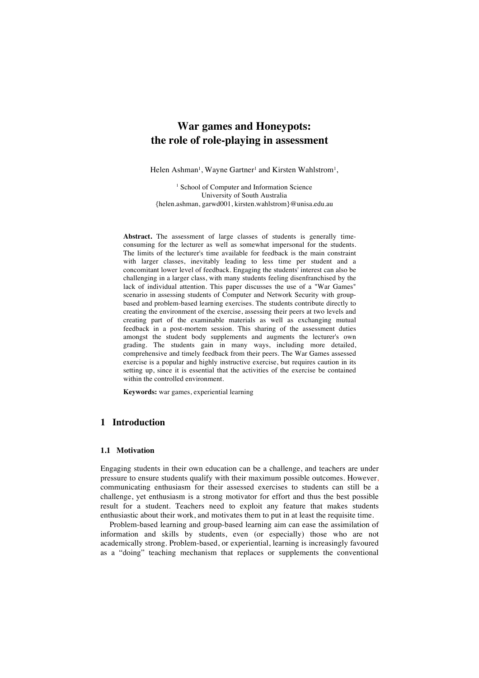# **War games and Honeypots: the role of role-playing in assessment**

Helen Ashman<sup>1</sup>, Wayne Gartner<sup>1</sup> and Kirsten Wahlstrom<sup>1</sup>,

<sup>1</sup> School of Computer and Information Science University of South Australia {helen.ashman, garwd001, kirsten.wahlstrom}@unisa.edu.au

Abstract. The assessment of large classes of students is generally timeconsuming for the lecturer as well as somewhat impersonal for the students. The limits of the lecturer's time available for feedback is the main constraint with larger classes, inevitably leading to less time per student and a concomitant lower level of feedback. Engaging the students' interest can also be challenging in a larger class, with many students feeling disenfranchised by the lack of individual attention. This paper discusses the use of a "War Games" scenario in assessing students of Computer and Network Security with groupbased and problem-based learning exercises. The students contribute directly to creating the environment of the exercise, assessing their peers at two levels and creating part of the examinable materials as well as exchanging mutual feedback in a post-mortem session. This sharing of the assessment duties amongst the student body supplements and augments the lecturer's own grading. The students gain in many ways, including more detailed, comprehensive and timely feedback from their peers. The War Games assessed exercise is a popular and highly instructive exercise, but requires caution in its setting up, since it is essential that the activities of the exercise be contained within the controlled environment.

**Keywords:** war games, experiential learning

## **1 Introduction**

#### **1.1 Motivation**

Engaging students in their own education can be a challenge, and teachers are under pressure to ensure students qualify with their maximum possible outcomes. However, communicating enthusiasm for their assessed exercises to students can still be a challenge, yet enthusiasm is a strong motivator for effort and thus the best possible result for a student. Teachers need to exploit any feature that makes students enthusiastic about their work, and motivates them to put in at least the requisite time.

Problem-based learning and group-based learning aim can ease the assimilation of information and skills by students, even (or especially) those who are not academically strong. Problem-based, or experiential, learning is increasingly favoured as a "doing" teaching mechanism that replaces or supplements the conventional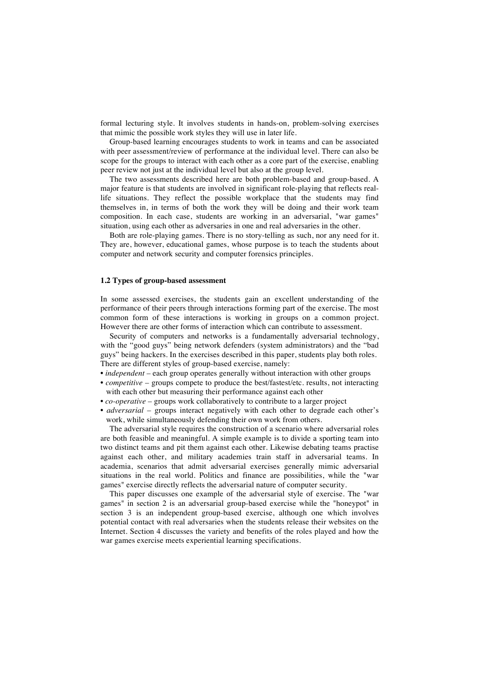formal lecturing style. It involves students in hands-on, problem-solving exercises that mimic the possible work styles they will use in later life.

Group-based learning encourages students to work in teams and can be associated with peer assessment/review of performance at the individual level. There can also be scope for the groups to interact with each other as a core part of the exercise, enabling peer review not just at the individual level but also at the group level.

The two assessments described here are both problem-based and group-based. A major feature is that students are involved in significant role-playing that reflects reallife situations. They reflect the possible workplace that the students may find themselves in, in terms of both the work they will be doing and their work team composition. In each case, students are working in an adversarial, "war games" situation, using each other as adversaries in one and real adversaries in the other.

Both are role-playing games. There is no story-telling as such, nor any need for it. They are, however, educational games, whose purpose is to teach the students about computer and network security and computer forensics principles.

#### **1.2 Types of group-based assessment**

In some assessed exercises, the students gain an excellent understanding of the performance of their peers through interactions forming part of the exercise. The most common form of these interactions is working in groups on a common project. However there are other forms of interaction which can contribute to assessment.

Security of computers and networks is a fundamentally adversarial technology, with the "good guys" being network defenders (system administrators) and the "bad guys" being hackers. In the exercises described in this paper, students play both roles. There are different styles of group-based exercise, namely:

- *independent* each group operates generally without interaction with other groups
- *competitive* groups compete to produce the best/fastest/etc. results, not interacting with each other but measuring their performance against each other
- *co-operative* groups work collaboratively to contribute to a larger project
- *adversarial* groups interact negatively with each other to degrade each other's work, while simultaneously defending their own work from others.

The adversarial style requires the construction of a scenario where adversarial roles are both feasible and meaningful. A simple example is to divide a sporting team into two distinct teams and pit them against each other. Likewise debating teams practise against each other, and military academies train staff in adversarial teams. In academia, scenarios that admit adversarial exercises generally mimic adversarial situations in the real world. Politics and finance are possibilities, while the "war games" exercise directly reflects the adversarial nature of computer security.

This paper discusses one example of the adversarial style of exercise. The "war games" in section 2 is an adversarial group-based exercise while the "honeypot" in section 3 is an independent group-based exercise, although one which involves potential contact with real adversaries when the students release their websites on the Internet. Section 4 discusses the variety and benefits of the roles played and how the war games exercise meets experiential learning specifications.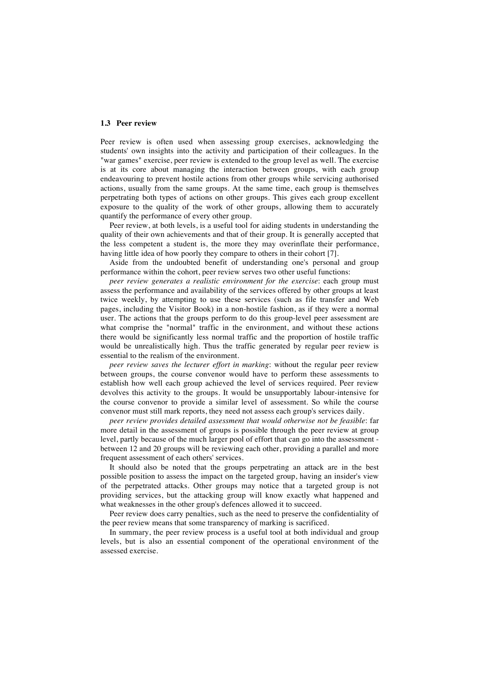#### **1.3 Peer review**

Peer review is often used when assessing group exercises, acknowledging the students' own insights into the activity and participation of their colleagues. In the "war games" exercise, peer review is extended to the group level as well. The exercise is at its core about managing the interaction between groups, with each group endeavouring to prevent hostile actions from other groups while servicing authorised actions, usually from the same groups. At the same time, each group is themselves perpetrating both types of actions on other groups. This gives each group excellent exposure to the quality of the work of other groups, allowing them to accurately quantify the performance of every other group.

Peer review, at both levels, is a useful tool for aiding students in understanding the quality of their own achievements and that of their group. It is generally accepted that the less competent a student is, the more they may overinflate their performance, having little idea of how poorly they compare to others in their cohort [7].

Aside from the undoubted benefit of understanding one's personal and group performance within the cohort, peer review serves two other useful functions:

*peer review generates a realistic environment for the exercise*: each group must assess the performance and availability of the services offered by other groups at least twice weekly, by attempting to use these services (such as file transfer and Web pages, including the Visitor Book) in a non-hostile fashion, as if they were a normal user. The actions that the groups perform to do this group-level peer assessment are what comprise the "normal" traffic in the environment, and without these actions there would be significantly less normal traffic and the proportion of hostile traffic would be unrealistically high. Thus the traffic generated by regular peer review is essential to the realism of the environment.

*peer review saves the lecturer effort in marking*: without the regular peer review between groups, the course convenor would have to perform these assessments to establish how well each group achieved the level of services required. Peer review devolves this activity to the groups. It would be unsupportably labour-intensive for the course convenor to provide a similar level of assessment. So while the course convenor must still mark reports, they need not assess each group's services daily.

*peer review provides detailed assessment that would otherwise not be feasible*: far more detail in the assessment of groups is possible through the peer review at group level, partly because of the much larger pool of effort that can go into the assessment between 12 and 20 groups will be reviewing each other, providing a parallel and more frequent assessment of each others' services.

It should also be noted that the groups perpetrating an attack are in the best possible position to assess the impact on the targeted group, having an insider's view of the perpetrated attacks. Other groups may notice that a targeted group is not providing services, but the attacking group will know exactly what happened and what weaknesses in the other group's defences allowed it to succeed.

Peer review does carry penalties, such as the need to preserve the confidentiality of the peer review means that some transparency of marking is sacrificed.

In summary, the peer review process is a useful tool at both individual and group levels, but is also an essential component of the operational environment of the assessed exercise.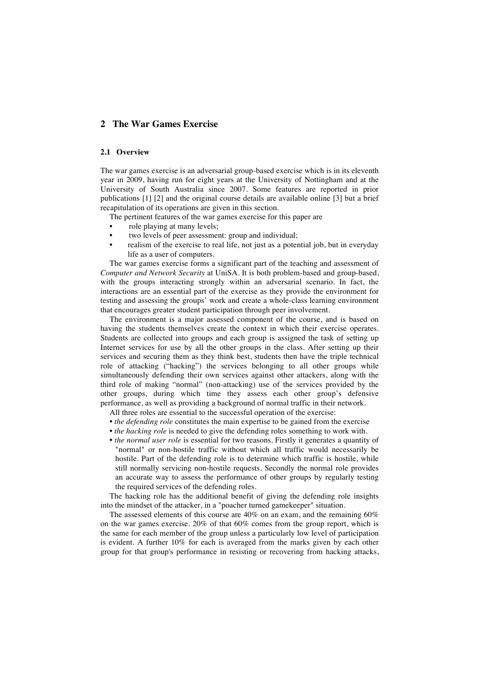## **2 The War Games Exercise**

### **2.1 Overview**

The war games exercise is an adversarial group-based exercise which is in its eleventh year in 2009, having run for eight years at the University of Nottingham and at the University of South Australia since 2007. Some features are reported in prior publications [1] [2] and the original course details are available online [3] but a brief recapitulation of its operations are given in this section.

The pertinent features of the war games exercise for this paper are

- role playing at many levels;
- two levels of peer assessment: group and individual;
- realism of the exercise to real life, not just as a potential job, but in everyday life as a user of computers.

The war games exercise forms a significant part of the teaching and assessment of *Computer and Network Security* at UniSA. It is both problem-based and group-based, with the groups interacting strongly within an adversarial scenario. In fact, the interactions are an essential part of the exercise as they provide the environment for testing and assessing the groups' work and create a whole-class learning environment that encourages greater student participation through peer involvement.

The environment is a major assessed component of the course, and is based on having the students themselves create the context in which their exercise operates. Students are collected into groups and each group is assigned the task of setting up Internet services for use by all the other groups in the class. After setting up their services and securing them as they think best, students then have the triple technical role of attacking ("hacking") the services belonging to all other groups while simultaneously defending their own services against other attackers, along with the third role of making "normal" (non-attacking) use of the services provided by the other groups, during which time they assess each other group's defensive performance, as well as providing a background of normal traffic in their network.

All three roles are essential to the successful operation of the exercise:

- *the defending role* constitutes the main expertise to be gained from the exercise
- *the hacking role* is needed to give the defending roles something to work with.
- *the normal user role* is essential for two reasons. Firstly it generates a quantity of "normal" or non-hostile traffic without which all traffic would necessarily be hostile. Part of the defending role is to determine which traffic is hostile, while still normally servicing non-hostile requests. Secondly the normal role provides an accurate way to assess the performance of other groups by regularly testing the required services of the defending roles.

The hacking role has the additional benefit of giving the defending role insights into the mindset of the attacker, in a "poacher turned gamekeeper" situation.

The assessed elements of this course are 40% on an exam, and the remaining 60% on the war games exercise. 20% of that 60% comes from the group report, which is the same for each member of the group unless a particularly low level of participation is evident. A further 10% for each is averaged from the marks given by each other group for that group's performance in resisting or recovering from hacking attacks,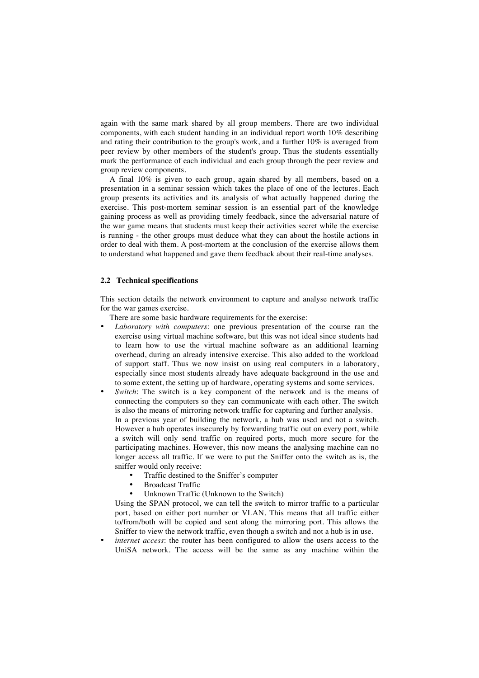again with the same mark shared by all group members. There are two individual components, with each student handing in an individual report worth 10% describing and rating their contribution to the group's work, and a further 10% is averaged from peer review by other members of the student's group. Thus the students essentially mark the performance of each individual and each group through the peer review and group review components.

A final 10% is given to each group, again shared by all members, based on a presentation in a seminar session which takes the place of one of the lectures. Each group presents its activities and its analysis of what actually happened during the exercise. This post-mortem seminar session is an essential part of the knowledge gaining process as well as providing timely feedback, since the adversarial nature of the war game means that students must keep their activities secret while the exercise is running - the other groups must deduce what they can about the hostile actions in order to deal with them. A post-mortem at the conclusion of the exercise allows them to understand what happened and gave them feedback about their real-time analyses.

#### **2.2 Technical specifications**

This section details the network environment to capture and analyse network traffic for the war games exercise.

There are some basic hardware requirements for the exercise:

- *Laboratory with computers*: one previous presentation of the course ran the exercise using virtual machine software, but this was not ideal since students had to learn how to use the virtual machine software as an additional learning overhead, during an already intensive exercise. This also added to the workload of support staff. Thus we now insist on using real computers in a laboratory, especially since most students already have adequate background in the use and to some extent, the setting up of hardware, operating systems and some services.
- Switch: The switch is a key component of the network and is the means of connecting the computers so they can communicate with each other. The switch is also the means of mirroring network traffic for capturing and further analysis. In a previous year of building the network, a hub was used and not a switch. However a hub operates insecurely by forwarding traffic out on every port, while a switch will only send traffic on required ports, much more secure for the participating machines. However, this now means the analysing machine can no longer access all traffic. If we were to put the Sniffer onto the switch as is, the sniffer would only receive:
	- Traffic destined to the Sniffer's computer
	- Broadcast Traffic
	- Unknown Traffic (Unknown to the Switch)

Using the SPAN protocol, we can tell the switch to mirror traffic to a particular port, based on either port number or VLAN. This means that all traffic either to/from/both will be copied and sent along the mirroring port. This allows the Sniffer to view the network traffic, even though a switch and not a hub is in use.

*internet access*: the router has been configured to allow the users access to the UniSA network. The access will be the same as any machine within the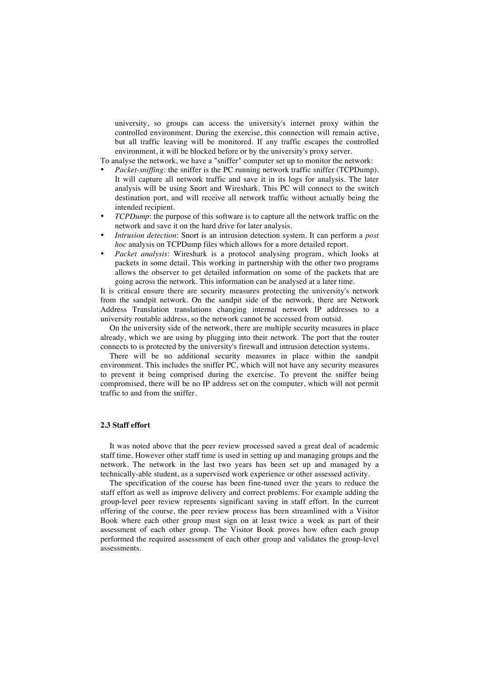university, so groups can access the university's internet proxy within the controlled environment. During the exercise, this connection will remain active, but all traffic leaving will be monitored. If any traffic escapes the controlled environment, it will be blocked before or by the university's proxy server.

To analyse the network, we have a "sniffer" computer set up to monitor the network:

- *Packet-sniffing*: the sniffer is the PC running network traffic sniffer (TCPDump). It will capture all network traffic and save it in its logs for analysis. The later analysis will be using Snort and Wireshark. This PC will connect to the switch destination port, and will receive all network traffic without actually being the intended recipient.
- *TCPDump*: the purpose of this software is to capture all the network traffic on the network and save it on the hard drive for later analysis.
- *Intrusion detection*: Snort is an intrusion detection system. It can perform a *post hoc* analysis on TCPDump files which allows for a more detailed report.
- *Packet analysis*: Wireshark is a protocol analysing program, which looks at packets in some detail. This working in partnership with the other two programs allows the observer to get detailed information on some of the packets that are going across the network. This information can be analysed at a later time.

It is critical ensure there are security measures protecting the university's network from the sandpit network. On the sandpit side of the network, there are Network Address Translation translations changing internal network IP addresses to a university routable address, so the network cannot be accessed from outsid.

On the university side of the network, there are multiple security measures in place already, which we are using by plugging into their network. The port that the router connects to is protected by the university's firewall and intrusion detection systems.

There will be no additional security measures in place within the sandpit environment. This includes the sniffer PC, which will not have any security measures to prevent it being comprised during the exercise. To prevent the sniffer being compromised, there will be no IP address set on the computer, which will not permit traffic to and from the sniffer.

#### **2.3 Staff effort**

It was noted above that the peer review processed saved a great deal of academic staff time. However other staff time is used in setting up and managing groups and the network. The network in the last two years has been set up and managed by a technically-able student, as a supervised work experience or other assessed activity.

The specification of the course has been fine-tuned over the years to reduce the staff effort as well as improve delivery and correct problems. For example adding the group-level peer review represents significant saving in staff effort. In the current offering of the course, the peer review process has been streamlined with a Visitor Book where each other group must sign on at least twice a week as part of their assessment of each other group. The Visitor Book proves how often each group performed the required assessment of each other group and validates the group-level assessments.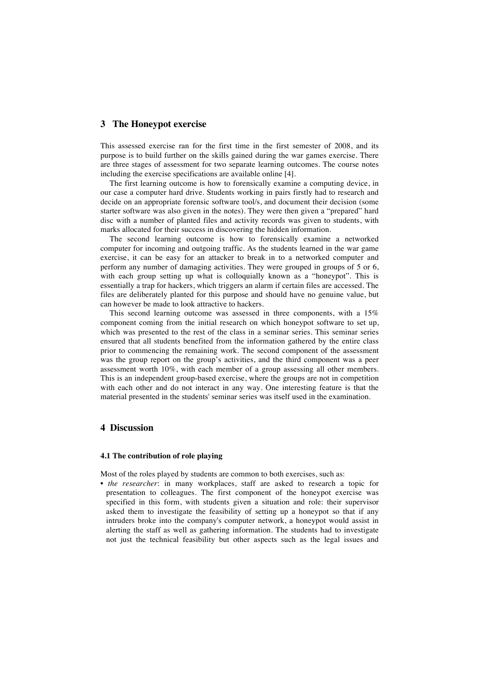## **3 The Honeypot exercise**

This assessed exercise ran for the first time in the first semester of 2008, and its purpose is to build further on the skills gained during the war games exercise. There are three stages of assessment for two separate learning outcomes. The course notes including the exercise specifications are available online [4].

The first learning outcome is how to forensically examine a computing device, in our case a computer hard drive. Students working in pairs firstly had to research and decide on an appropriate forensic software tool/s, and document their decision (some starter software was also given in the notes). They were then given a "prepared" hard disc with a number of planted files and activity records was given to students, with marks allocated for their success in discovering the hidden information.

The second learning outcome is how to forensically examine a networked computer for incoming and outgoing traffic. As the students learned in the war game exercise, it can be easy for an attacker to break in to a networked computer and perform any number of damaging activities. They were grouped in groups of 5 or 6, with each group setting up what is colloquially known as a "honeypot". This is essentially a trap for hackers, which triggers an alarm if certain files are accessed. The files are deliberately planted for this purpose and should have no genuine value, but can however be made to look attractive to hackers.

This second learning outcome was assessed in three components, with a 15% component coming from the initial research on which honeypot software to set up, which was presented to the rest of the class in a seminar series. This seminar series ensured that all students benefited from the information gathered by the entire class prior to commencing the remaining work. The second component of the assessment was the group report on the group's activities, and the third component was a peer assessment worth 10%, with each member of a group assessing all other members. This is an independent group-based exercise, where the groups are not in competition with each other and do not interact in any way. One interesting feature is that the material presented in the students' seminar series was itself used in the examination.

## **4 Discussion**

#### **4.1 The contribution of role playing**

Most of the roles played by students are common to both exercises, such as:

• *the researcher*: in many workplaces, staff are asked to research a topic for presentation to colleagues. The first component of the honeypot exercise was specified in this form, with students given a situation and role: their supervisor asked them to investigate the feasibility of setting up a honeypot so that if any intruders broke into the company's computer network, a honeypot would assist in alerting the staff as well as gathering information. The students had to investigate not just the technical feasibility but other aspects such as the legal issues and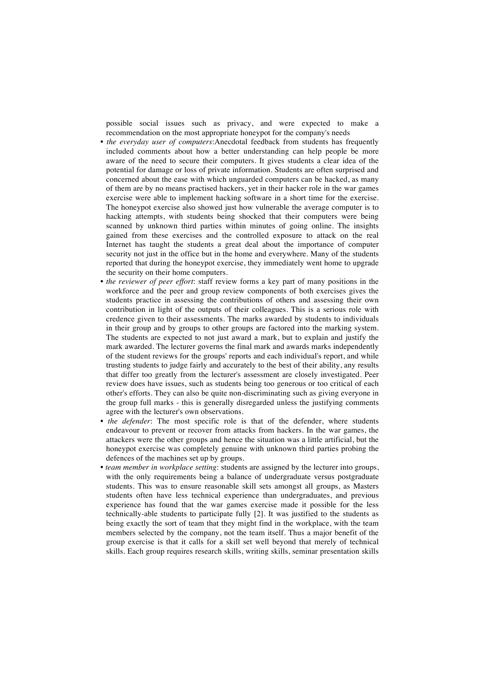possible social issues such as privacy, and were expected to make a recommendation on the most appropriate honeypot for the company's needs

- *the everyday user of computers*:Anecdotal feedback from students has frequently included comments about how a better understanding can help people be more aware of the need to secure their computers. It gives students a clear idea of the potential for damage or loss of private information. Students are often surprised and concerned about the ease with which unguarded computers can be hacked, as many of them are by no means practised hackers, yet in their hacker role in the war games exercise were able to implement hacking software in a short time for the exercise. The honeypot exercise also showed just how vulnerable the average computer is to hacking attempts, with students being shocked that their computers were being scanned by unknown third parties within minutes of going online. The insights gained from these exercises and the controlled exposure to attack on the real Internet has taught the students a great deal about the importance of computer security not just in the office but in the home and everywhere. Many of the students reported that during the honeypot exercise, they immediately went home to upgrade the security on their home computers.
- *the reviewer of peer effort*: staff review forms a key part of many positions in the workforce and the peer and group review components of both exercises gives the students practice in assessing the contributions of others and assessing their own contribution in light of the outputs of their colleagues. This is a serious role with credence given to their assessments. The marks awarded by students to individuals in their group and by groups to other groups are factored into the marking system. The students are expected to not just award a mark, but to explain and justify the mark awarded. The lecturer governs the final mark and awards marks independently of the student reviews for the groups' reports and each individual's report, and while trusting students to judge fairly and accurately to the best of their ability, any results that differ too greatly from the lecturer's assessment are closely investigated. Peer review does have issues, such as students being too generous or too critical of each other's efforts. They can also be quite non-discriminating such as giving everyone in the group full marks - this is generally disregarded unless the justifying comments agree with the lecturer's own observations.
- *the defender*: The most specific role is that of the defender, where students endeavour to prevent or recover from attacks from hackers. In the war games, the attackers were the other groups and hence the situation was a little artificial, but the honeypot exercise was completely genuine with unknown third parties probing the defences of the machines set up by groups.
- *team member in workplace setting*: students are assigned by the lecturer into groups, with the only requirements being a balance of undergraduate versus postgraduate students. This was to ensure reasonable skill sets amongst all groups, as Masters students often have less technical experience than undergraduates, and previous experience has found that the war games exercise made it possible for the less technically-able students to participate fully [2]. It was justified to the students as being exactly the sort of team that they might find in the workplace, with the team members selected by the company, not the team itself. Thus a major benefit of the group exercise is that it calls for a skill set well beyond that merely of technical skills. Each group requires research skills, writing skills, seminar presentation skills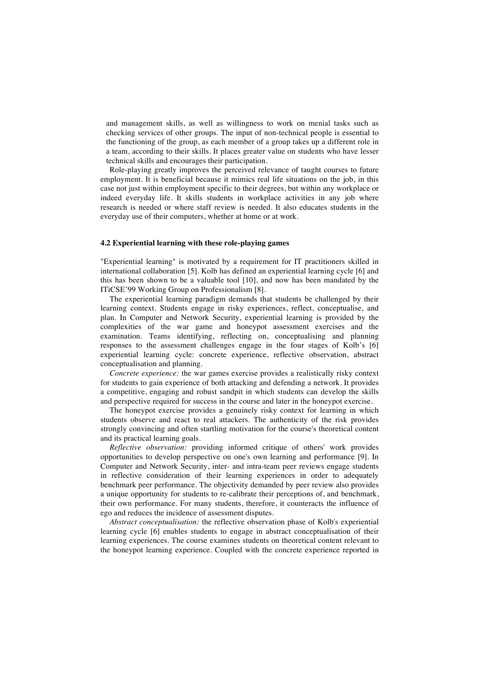and management skills, as well as willingness to work on menial tasks such as checking services of other groups. The input of non-technical people is essential to the functioning of the group, as each member of a group takes up a different role in a team, according to their skills. It places greater value on students who have lesser technical skills and encourages their participation.

Role-playing greatly improves the perceived relevance of taught courses to future employment. It is beneficial because it mimics real life situations on the job, in this case not just within employment specific to their degrees, but within any workplace or indeed everyday life. It skills students in workplace activities in any job where research is needed or where staff review is needed. It also educates students in the everyday use of their computers, whether at home or at work.

#### **4.2 Experiential learning with these role-playing games**

"Experiential learning" is motivated by a requirement for IT practitioners skilled in international collaboration [5]. Kolb has defined an experiential learning cycle [6] and this has been shown to be a valuable tool [10], and now has been mandated by the ITiCSE'99 Working Group on Professionalism [8].

The experiential learning paradigm demands that students be challenged by their learning context. Students engage in risky experiences, reflect, conceptualise, and plan. In Computer and Network Security, experiential learning is provided by the complexities of the war game and honeypot assessment exercises and the examination. Teams identifying, reflecting on, conceptualising and planning responses to the assessment challenges engage in the four stages of Kolb's [6] experiential learning cycle: concrete experience, reflective observation, abstract conceptualisation and planning.

*Concrete experience:* the war games exercise provides a realistically risky context for students to gain experience of both attacking and defending a network. It provides a competitive, engaging and robust sandpit in which students can develop the skills and perspective required for success in the course and later in the honeypot exercise.

The honeypot exercise provides a genuinely risky context for learning in which students observe and react to real attackers. The authenticity of the risk provides strongly convincing and often startling motivation for the course's theoretical content and its practical learning goals.

*Reflective observation:* providing informed critique of others' work provides opportunities to develop perspective on one's own learning and performance [9]. In Computer and Network Security, inter- and intra-team peer reviews engage students in reflective consideration of their learning experiences in order to adequately benchmark peer performance. The objectivity demanded by peer review also provides a unique opportunity for students to re-calibrate their perceptions of, and benchmark, their own performance. For many students, therefore, it counteracts the influence of ego and reduces the incidence of assessment disputes.

*Abstract conceptualisation:* the reflective observation phase of Kolb's experiential learning cycle [6] enables students to engage in abstract conceptualisation of their learning experiences. The course examines students on theoretical content relevant to the honeypot learning experience. Coupled with the concrete experience reported in